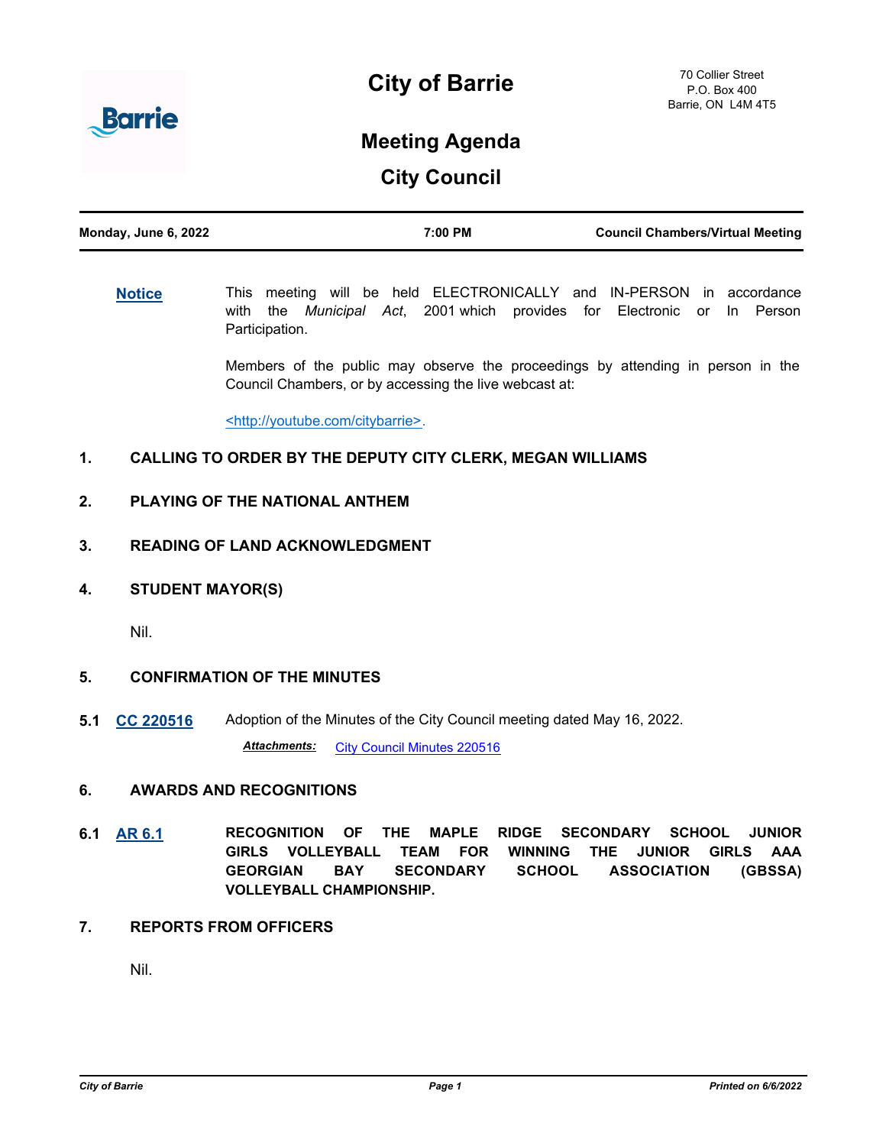

# **City of Barrie**

# **Meeting Agenda**

**City Council**

| Monday, June 6, 2022 | 7:00 PM | <b>Council Chambers/Virtual Meeting</b> |
|----------------------|---------|-----------------------------------------|
|                      |         |                                         |

**[Notice](http://barrie.ca.legistar.com/gateway.aspx?m=l&id=/matter.aspx?key=46586)** This meeting will be held ELECTRONICALLY and IN-PERSON in accordance with the *Municipal Act*, 2001 which provides for Electronic or In Person Participation.

> Members of the public may observe the proceedings by attending in person in the Council Chambers, or by accessing the live webcast at:

<http://youtube.com/citybarrie>.

# **1. CALLING TO ORDER BY THE DEPUTY CITY CLERK, MEGAN WILLIAMS**

- **2. PLAYING OF THE NATIONAL ANTHEM**
- **3. READING OF LAND ACKNOWLEDGMENT**
- **4. STUDENT MAYOR(S)**

Nil.

# **5. CONFIRMATION OF THE MINUTES**

**5.1 [CC 220516](http://barrie.ca.legistar.com/gateway.aspx?m=l&id=/matter.aspx?key=50822)** Adoption of the Minutes of the City Council meeting dated May 16, 2022.

**Attachments:** [City Council Minutes 220516](http://barrie.ca.legistar.com/gateway.aspx?M=F&ID=0d85de82-1b19-4a88-9a7b-2b9669728864.pdf)

### **6. AWARDS AND RECOGNITIONS**

- **6.1 [AR 6.1](http://barrie.ca.legistar.com/gateway.aspx?m=l&id=/matter.aspx?key=50823) RECOGNITION OF THE MAPLE RIDGE SECONDARY SCHOOL JUNIOR GIRLS VOLLEYBALL TEAM FOR WINNING THE JUNIOR GIRLS AAA GEORGIAN BAY SECONDARY SCHOOL ASSOCIATION (GBSSA) VOLLEYBALL CHAMPIONSHIP.**
- **7. REPORTS FROM OFFICERS**

Nil.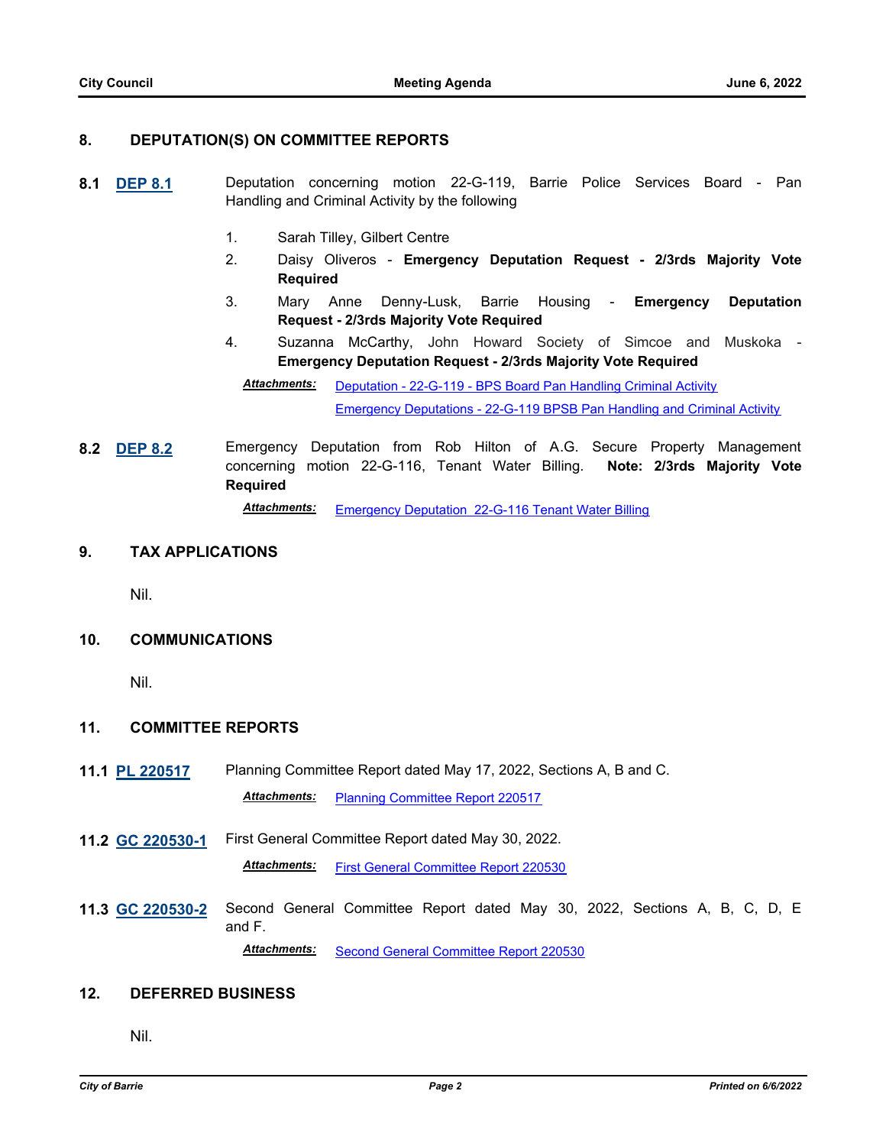# **8. DEPUTATION(S) ON COMMITTEE REPORTS**

- **8.1 [DEP 8.1](http://barrie.ca.legistar.com/gateway.aspx?m=l&id=/matter.aspx?key=50825)** Deputation concerning motion 22-G-119, Barrie Police Services Board Pan Handling and Criminal Activity by the following
	- 1. Sarah Tilley, Gilbert Centre
	- 2. Daisy Oliveros **Emergency Deputation Request 2/3rds Majority Vote Required**
	- 3. Mary Anne Denny-Lusk, Barrie Housing **Emergency Deputation Request - 2/3rds Majority Vote Required**
	- 4. Suzanna McCarthy, John Howard Society of Simcoe and Muskoka **Emergency Deputation Request - 2/3rds Majority Vote Required**

[Deputation - 22-G-119 - BPS Board Pan Handling Criminal Activity](http://barrie.ca.legistar.com/gateway.aspx?M=F&ID=4689e248-a1a5-4f42-b5c6-20a4c65e157a.pdf) [Emergency Deputations - 22-G-119 BPSB Pan Handling and Criminal Activity](http://barrie.ca.legistar.com/gateway.aspx?M=F&ID=bda923c3-7b09-4982-9d87-3f4e7aa0497e.pdf) *Attachments:*

**8.2 [DEP 8.2](http://barrie.ca.legistar.com/gateway.aspx?m=l&id=/matter.aspx?key=50845)** Emergency Deputation from Rob Hilton of A.G. Secure Property Management concerning motion 22-G-116, Tenant Water Billing. **Note: 2/3rds Majority Vote Required** *Attachments:* [Emergency Deputation 22-G-116 Tenant Water Billing](http://barrie.ca.legistar.com/gateway.aspx?M=F&ID=64c5fb2b-8180-4772-a03c-c40522526f69.pdf)

**9. TAX APPLICATIONS**

Nil.

#### **10. COMMUNICATIONS**

Nil.

# **11. COMMITTEE REPORTS**

- **11.1 [PL 220517](http://barrie.ca.legistar.com/gateway.aspx?m=l&id=/matter.aspx?key=50826)** Planning Committee Report dated May 17, 2022, Sections A, B and C. *Attachments:* [Planning Committee Report 220517](http://barrie.ca.legistar.com/gateway.aspx?M=F&ID=d622bbf4-2072-400b-9bf4-82503c82f918.pdf)
- **11.2 [GC 220530-1](http://barrie.ca.legistar.com/gateway.aspx?m=l&id=/matter.aspx?key=50827)** First General Committee Report dated May 30, 2022. *Attachments:* [First General Committee Report 220530](http://barrie.ca.legistar.com/gateway.aspx?M=F&ID=d0a7fc26-7a1f-45d3-9de0-7b5506827556.pdf)
- **11.3 [GC 220530-2](http://barrie.ca.legistar.com/gateway.aspx?m=l&id=/matter.aspx?key=50828)** Second General Committee Report dated May 30, 2022, Sections A, B, C, D, E and F. *Attachments:* [Second General Committee Report 220530](http://barrie.ca.legistar.com/gateway.aspx?M=F&ID=2862be62-7e9a-4c02-8cba-0389542e1560.pdf)

#### **12. DEFERRED BUSINESS**

Nil.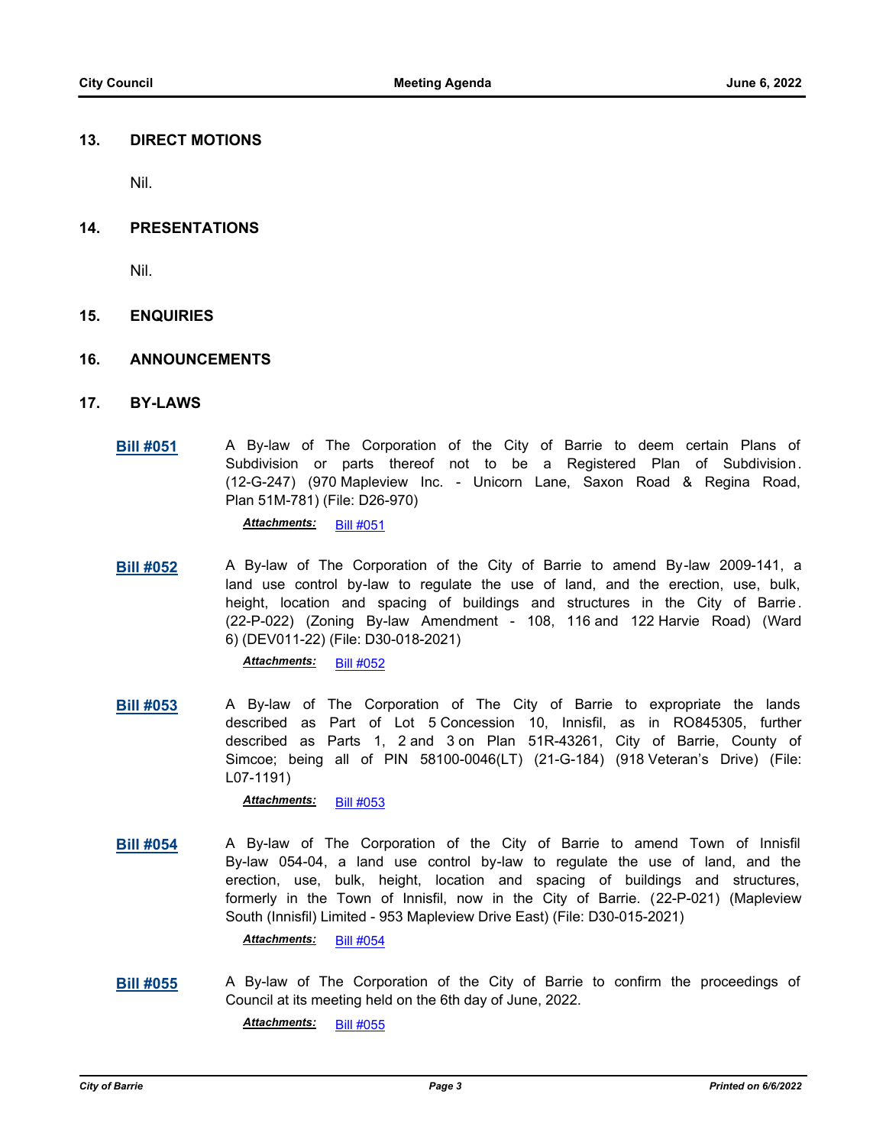#### **13. DIRECT MOTIONS**

Nil.

#### **14. PRESENTATIONS**

Nil.

#### **15. ENQUIRIES**

#### **16. ANNOUNCEMENTS**

- **17. BY-LAWS**
	- **[Bill #051](http://barrie.ca.legistar.com/gateway.aspx?m=l&id=/matter.aspx?key=50790)** A By-law of The Corporation of the City of Barrie to deem certain Plans of Subdivision or parts thereof not to be a Registered Plan of Subdivision. (12-G-247) (970 Mapleview Inc. - Unicorn Lane, Saxon Road & Regina Road, Plan 51M-781) (File: D26-970)

*Attachments:* [Bill #051](http://barrie.ca.legistar.com/gateway.aspx?M=F&ID=00fad141-e4ef-4a55-876e-b11814f8ff87.pdf)

**[Bill #052](http://barrie.ca.legistar.com/gateway.aspx?m=l&id=/matter.aspx?key=50765)** A By-law of The Corporation of the City of Barrie to amend By-law 2009-141, a land use control by-law to regulate the use of land, and the erection, use, bulk, height, location and spacing of buildings and structures in the City of Barrie. (22-P-022) (Zoning By-law Amendment - 108, 116 and 122 Harvie Road) (Ward 6) (DEV011-22) (File: D30-018-2021)

*Attachments:* [Bill #052](http://barrie.ca.legistar.com/gateway.aspx?M=F&ID=710f827d-ccbe-453d-a529-d113ad67f267.pdf)

**[Bill #053](http://barrie.ca.legistar.com/gateway.aspx?m=l&id=/matter.aspx?key=50769)** A By-law of The Corporation of The City of Barrie to expropriate the lands described as Part of Lot 5 Concession 10, Innisfil, as in RO845305, further described as Parts 1, 2 and 3 on Plan 51R-43261, City of Barrie, County of Simcoe; being all of PIN 58100-0046(LT) (21-G-184) (918 Veteran's Drive) (File: L07-1191)

*Attachments:* [Bill #053](http://barrie.ca.legistar.com/gateway.aspx?M=F&ID=49778286-e329-4844-bd0c-81724cee8492.pdf)

**[Bill #054](http://barrie.ca.legistar.com/gateway.aspx?m=l&id=/matter.aspx?key=50791)** A By-law of The Corporation of the City of Barrie to amend Town of Innisfil By-law 054-04, a land use control by-law to regulate the use of land, and the erection, use, bulk, height, location and spacing of buildings and structures, formerly in the Town of Innisfil, now in the City of Barrie. (22-P-021) (Mapleview South (Innisfil) Limited - 953 Mapleview Drive East) (File: D30-015-2021)

*Attachments:* [Bill #054](http://barrie.ca.legistar.com/gateway.aspx?M=F&ID=75e7451c-cd46-405d-9dad-220bac04be47.pdf)

**[Bill #055](http://barrie.ca.legistar.com/gateway.aspx?m=l&id=/matter.aspx?key=50834)** A By-law of The Corporation of the City of Barrie to confirm the proceedings of Council at its meeting held on the 6th day of June, 2022.

*Attachments:* [Bill #055](http://barrie.ca.legistar.com/gateway.aspx?M=F&ID=8235c0c5-0dea-46e5-8681-ca3e7d852770.pdf)